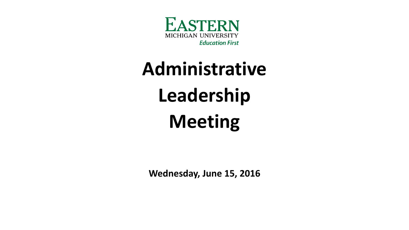

## **Administrative Leadership Meeting**

**Wednesday, June 15, 2016**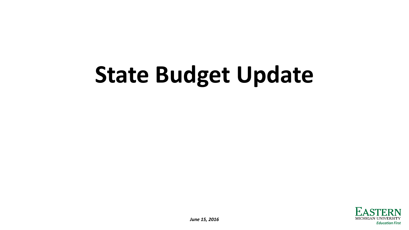# **State Budget Update**

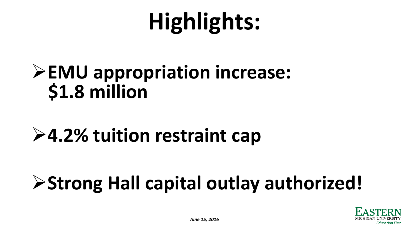# **Highlights:**

### **EMU appropriation increase: \$1.8 million**

### **4.2% tuition restraint cap**

## **Strong Hall capital outlay authorized!**

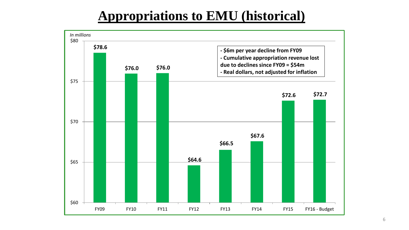#### **Appropriations to EMU (historical)**

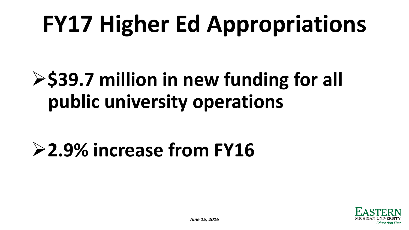# **FY17 Higher Ed Appropriations**

## $>$  **\$39.7 million in new funding for all public university operations**

## **2.9% increase from FY16**

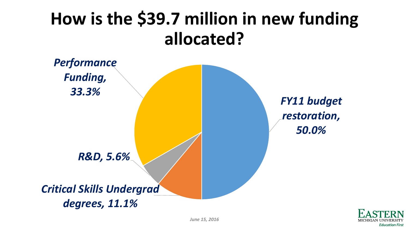### **How is the \$39.7 million in new funding allocated?**



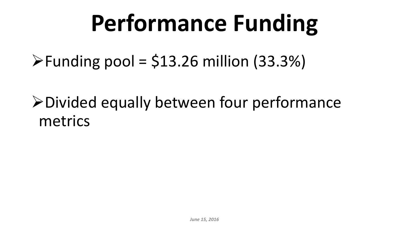# **Performance Funding**

 $\blacktriangleright$  Funding pool = \$13.26 million (33.3%)

Divided equally between four performance metrics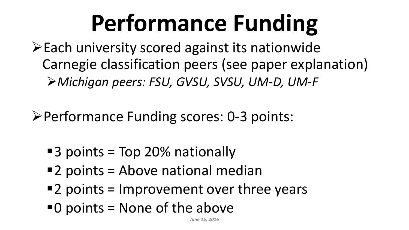# **Performance Funding**

- Each university scored against its nationwide Carnegie classification peers (see paper explanation) *Michigan peers: FSU, GVSU, SVSU, UM-D, UM-F*
- Performance Funding scores: 0-3 points:
	- ■3 points = Top 20% nationally
	- 2 points = Above national median
	- $\blacksquare$  2 points = Improvement over three years
	- $\blacksquare$  0 points = None of the above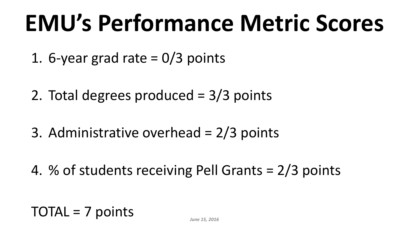## **EMU's Performance Metric Scores**

- 1. 6-year grad rate  $= 0/3$  points
- 2. Total degrees produced = 3/3 points
- 3. Administrative overhead = 2/3 points
- 4. % of students receiving Pell Grants = 2/3 points

TOTAL = 7 points *June 15, 2016*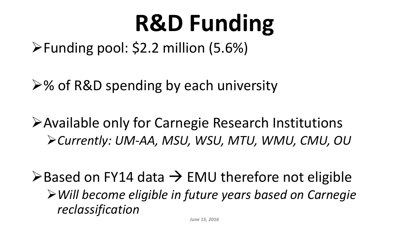# **R&D Funding**

Funding pool: \$2.2 million (5.6%)

 $\geq$ % of R&D spending by each university

Available only for Carnegie Research Institutions *Currently: UM-AA, MSU, WSU, MTU, WMU, CMU, OU*

 $\triangleright$  Based on FY14 data  $\rightarrow$  EMU therefore not eligible *Will become eligible in future years based on Carnegie reclassification*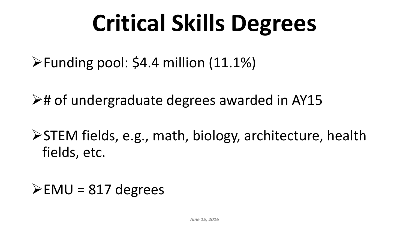# **Critical Skills Degrees**

- $\blacktriangleright$  Funding pool: \$4.4 million (11.1%)
- $\triangleright$ # of undergraduate degrees awarded in AY15
- STEM fields, e.g., math, biology, architecture, health fields, etc.
- $\blacktriangleright$  EMU = 817 degrees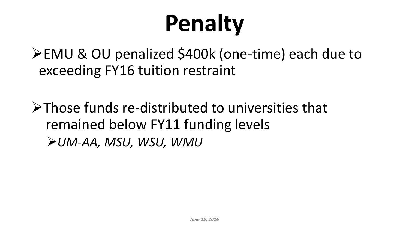# **Penalty**

EMU & OU penalized \$400k (one-time) each due to exceeding FY16 tuition restraint

Those funds re-distributed to universities that remained below FY11 funding levels *UM-AA, MSU, WSU, WMU*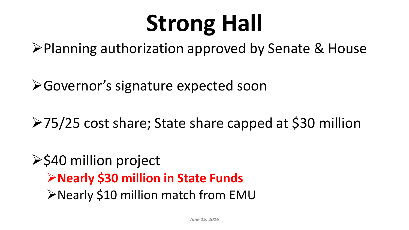# **Strong Hall**

**≻Planning authorization approved by Senate & House** 

**≻Governor's signature expected soon** 

75/25 cost share; State share capped at \$30 million

#### $\ge$  \$40 million project **Nearly \$30 million in State Funds ≻Nearly \$10 million match from EMU**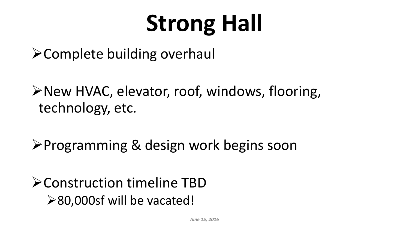# **Strong Hall**

 $\triangleright$  Complete building overhaul

New HVAC, elevator, roof, windows, flooring, technology, etc.

**≻Programming & design work begins soon** 

Construction timeline TBD **≻80,000sf will be vacated!**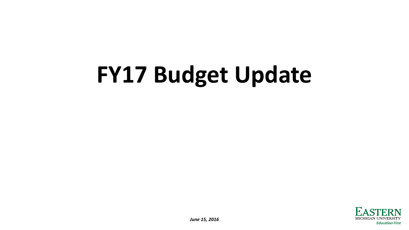# **FY17 Budget Update**

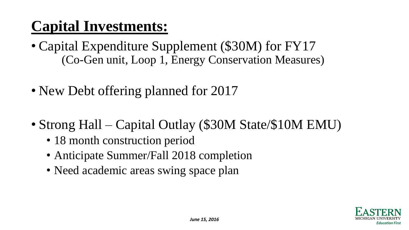#### **Capital Investments:**

- Capital Expenditure Supplement (\$30M) for FY17 (Co-Gen unit, Loop 1, Energy Conservation Measures)
- New Debt offering planned for 2017
- Strong Hall Capital Outlay (\$30M State/\$10M EMU)
	- 18 month construction period
	- Anticipate Summer/Fall 2018 completion
	- Need academic areas swing space plan

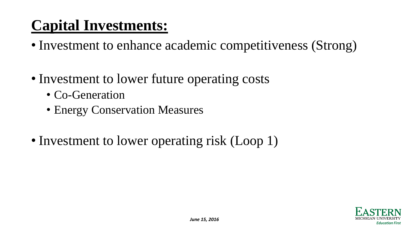#### **Capital Investments:**

- Investment to enhance academic competitiveness (Strong)
- Investment to lower future operating costs
	- Co-Generation
	- Energy Conservation Measures
- Investment to lower operating risk (Loop 1)

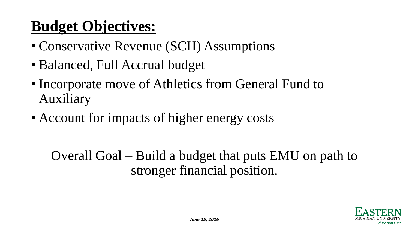#### **Budget Objectives:**

- Conservative Revenue (SCH) Assumptions
- Balanced, Full Accrual budget
- Incorporate move of Athletics from General Fund to Auxiliary
- Account for impacts of higher energy costs

Overall Goal – Build a budget that puts EMU on path to stronger financial position.

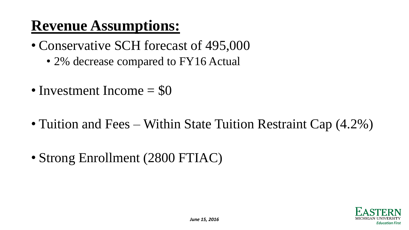#### **Revenue Assumptions:**

- Conservative SCH forecast of 495,000
	- 2% decrease compared to FY16 Actual
- Investment Income = \$0
- Tuition and Fees Within State Tuition Restraint Cap (4.2%)
- Strong Enrollment (2800 FTIAC)

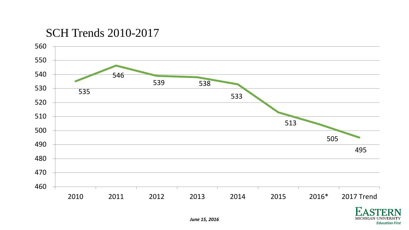#### SCH Trends 2010-2017



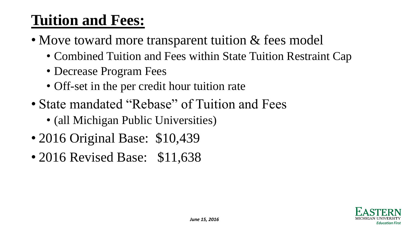#### **Tuition and Fees:**

- Move toward more transparent tuition & fees model
	- Combined Tuition and Fees within State Tuition Restraint Cap
	- Decrease Program Fees
	- Off-set in the per credit hour tuition rate
- State mandated "Rebase" of Tuition and Fees
	- (all Michigan Public Universities)
- 2016 Original Base: \$10,439
- 2016 Revised Base: \$11,638

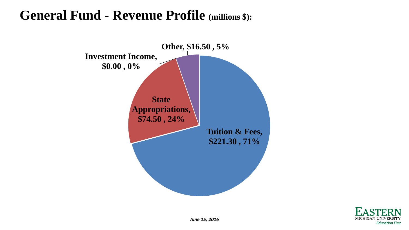#### **General Fund - Revenue Profile (millions \$):**



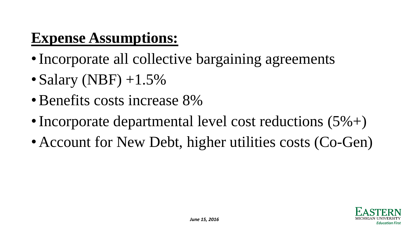#### **Expense Assumptions:**

- •Incorporate all collective bargaining agreements
- Salary (NBF)  $+1.5\%$
- •Benefits costs increase 8%
- Incorporate departmental level cost reductions  $(5\%+)$
- Account for New Debt, higher utilities costs (Co-Gen)

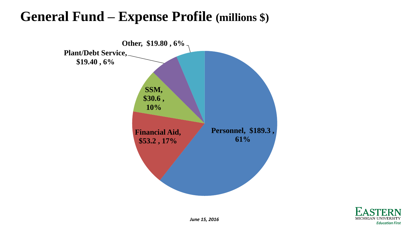#### **General Fund – Expense Profile (millions \$)**



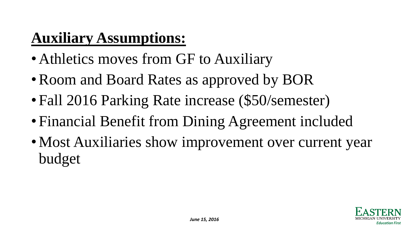#### **Auxiliary Assumptions:**

- Athletics moves from GF to Auxiliary
- Room and Board Rates as approved by BOR
- Fall 2016 Parking Rate increase (\$50/semester)
- Financial Benefit from Dining Agreement included
- Most Auxiliaries show improvement over current year budget